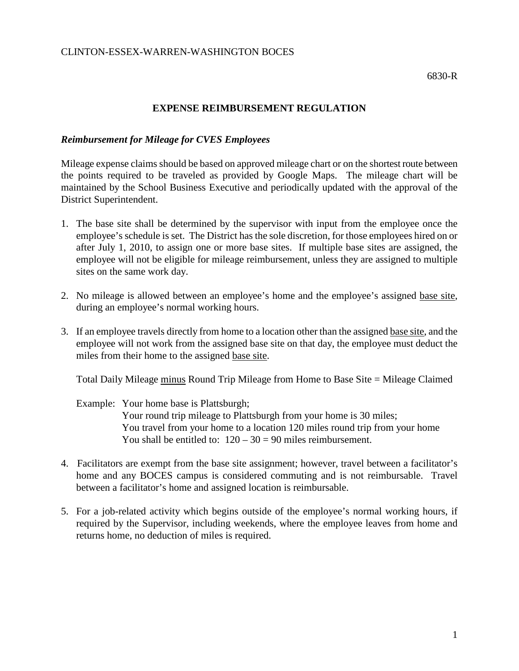## **EXPENSE REIMBURSEMENT REGULATION**

## *Reimbursement for Mileage for CVES Employees*

Mileage expense claims should be based on approved mileage chart or on the shortest route between the points required to be traveled as provided by Google Maps. The mileage chart will be maintained by the School Business Executive and periodically updated with the approval of the District Superintendent.

- 1. The base site shall be determined by the supervisor with input from the employee once the employee's schedule is set. The District has the sole discretion, for those employees hired on or after July 1, 2010, to assign one or more base sites. If multiple base sites are assigned, the employee will not be eligible for mileage reimbursement, unless they are assigned to multiple sites on the same work day.
- 2. No mileage is allowed between an employee's home and the employee's assigned base site, during an employee's normal working hours.
- 3. If an employee travels directly from home to a location other than the assigned base site, and the employee will not work from the assigned base site on that day, the employee must deduct the miles from their home to the assigned base site.

Total Daily Mileage minus Round Trip Mileage from Home to Base Site = Mileage Claimed

Example: Your home base is Plattsburgh; Your round trip mileage to Plattsburgh from your home is 30 miles; You travel from your home to a location 120 miles round trip from your home You shall be entitled to:  $120 - 30 = 90$  miles reimbursement.

- 4. Facilitators are exempt from the base site assignment; however, travel between a facilitator's home and any BOCES campus is considered commuting and is not reimbursable. Travel between a facilitator's home and assigned location is reimbursable.
- 5. For a job-related activity which begins outside of the employee's normal working hours, if required by the Supervisor, including weekends, where the employee leaves from home and returns home, no deduction of miles is required.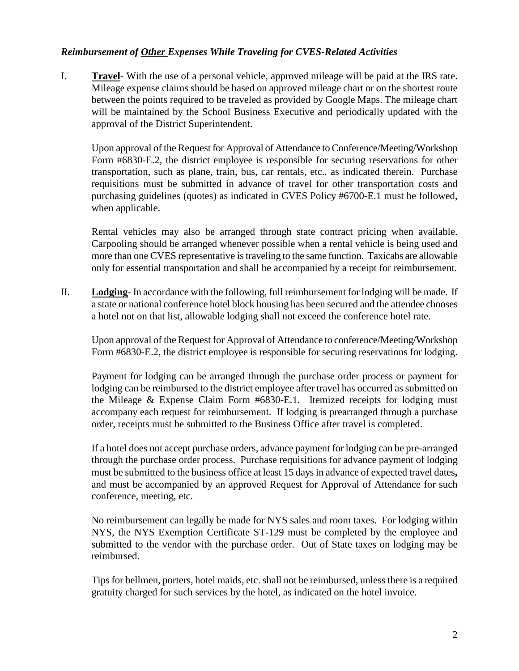## *Reimbursement of Other Expenses While Traveling for CVES-Related Activities*

I. **Travel**- With the use of a personal vehicle, approved mileage will be paid at the IRS rate. Mileage expense claims should be based on approved mileage chart or on the shortest route between the points required to be traveled as provided by Google Maps. The mileage chart will be maintained by the School Business Executive and periodically updated with the approval of the District Superintendent.

Upon approval of the Request for Approval of Attendance to Conference/Meeting/Workshop Form #6830-E.2, the district employee is responsible for securing reservations for other transportation, such as plane, train, bus, car rentals, etc., as indicated therein. Purchase requisitions must be submitted in advance of travel for other transportation costs and purchasing guidelines (quotes) as indicated in CVES Policy #6700-E.1 must be followed, when applicable.

Rental vehicles may also be arranged through state contract pricing when available. Carpooling should be arranged whenever possible when a rental vehicle is being used and more than one CVES representative is traveling to the same function. Taxicabs are allowable only for essential transportation and shall be accompanied by a receipt for reimbursement.

II. **Lodging**- In accordance with the following, full reimbursement for lodging will be made. If a state or national conference hotel block housing has been secured and the attendee chooses a hotel not on that list, allowable lodging shall not exceed the conference hotel rate.

Upon approval of the Request for Approval of Attendance to conference/Meeting/Workshop Form #6830-E.2, the district employee is responsible for securing reservations for lodging.

Payment for lodging can be arranged through the purchase order process or payment for lodging can be reimbursed to the district employee after travel has occurred as submitted on the Mileage & Expense Claim Form #6830-E.1. Itemized receipts for lodging must accompany each request for reimbursement. If lodging is prearranged through a purchase order, receipts must be submitted to the Business Office after travel is completed.

If a hotel does not accept purchase orders, advance payment for lodging can be pre-arranged through the purchase order process. Purchase requisitions for advance payment of lodging must be submitted to the business office at least 15 days in advance of expected travel dates**,**  and must be accompanied by an approved Request for Approval of Attendance for such conference, meeting, etc.

No reimbursement can legally be made for NYS sales and room taxes. For lodging within NYS, the NYS Exemption Certificate ST-129 must be completed by the employee and submitted to the vendor with the purchase order. Out of State taxes on lodging may be reimbursed.

Tipsfor bellmen, porters, hotel maids, etc. shall not be reimbursed, unless there is a required gratuity charged for such services by the hotel, as indicated on the hotel invoice.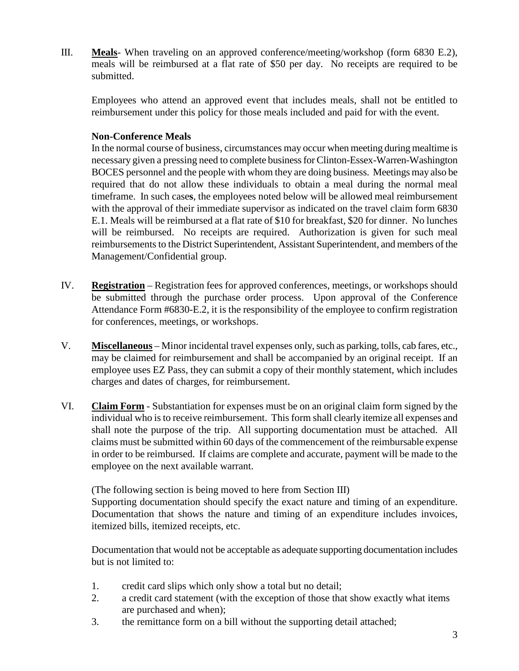III. **Meals**- When traveling on an approved conference/meeting/workshop (form 6830 E.2), meals will be reimbursed at a flat rate of \$50 per day. No receipts are required to be submitted.

Employees who attend an approved event that includes meals, shall not be entitled to reimbursement under this policy for those meals included and paid for with the event.

## **Non-Conference Meals**

In the normal course of business, circumstances may occur when meeting during mealtime is necessary given a pressing need to complete businessfor Clinton-Essex-Warren-Washington BOCES personnel and the people with whom they are doing business. Meetings may also be required that do not allow these individuals to obtain a meal during the normal meal timeframe. In such case**s**, the employees noted below will be allowed meal reimbursement with the approval of their immediate supervisor as indicated on the travel claim form 6830 E.1. Meals will be reimbursed at a flat rate of \$10 for breakfast, \$20 for dinner. No lunches will be reimbursed. No receipts are required. Authorization is given for such meal reimbursements to the District Superintendent, Assistant Superintendent, and members of the Management/Confidential group.

- IV. **Registration** Registration fees for approved conferences, meetings, or workshops should be submitted through the purchase order process. Upon approval of the Conference Attendance Form #6830-E.2, it is the responsibility of the employee to confirm registration for conferences, meetings, or workshops.
- V. **Miscellaneous** Minor incidental travel expenses only, such as parking, tolls, cab fares, etc., may be claimed for reimbursement and shall be accompanied by an original receipt. If an employee uses EZ Pass, they can submit a copy of their monthly statement, which includes charges and dates of charges, for reimbursement.
- VI. **Claim Form** Substantiation for expenses must be on an original claim form signed by the individual who is to receive reimbursement. This form shall clearly itemize all expenses and shall note the purpose of the trip. All supporting documentation must be attached. All claims must be submitted within 60 days of the commencement of the reimbursable expense in order to be reimbursed. If claims are complete and accurate, payment will be made to the employee on the next available warrant.

(The following section is being moved to here from Section III) Supporting documentation should specify the exact nature and timing of an expenditure.

Documentation that shows the nature and timing of an expenditure includes invoices, itemized bills, itemized receipts, etc.

Documentation that would not be acceptable as adequate supporting documentation includes but is not limited to:

- 1. credit card slips which only show a total but no detail;
- 2. a credit card statement (with the exception of those that show exactly what items are purchased and when);
- 3. the remittance form on a bill without the supporting detail attached;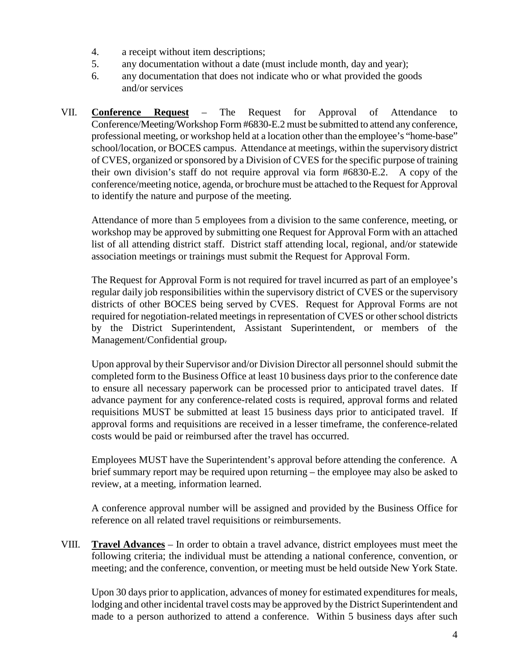- 4. a receipt without item descriptions;
- 5. any documentation without a date (must include month, day and year);
- 6. any documentation that does not indicate who or what provided the goods and/or services
- VII. **Conference Request** The Request for Approval of Attendance to Conference/Meeting/Workshop Form #6830-E.2 must be submitted to attend any conference, professional meeting, or workshop held at a location other than the employee's "home-base" school/location, or BOCES campus.Attendance at meetings, within the supervisory district of CVES, organized or sponsored by a Division of CVES for the specific purpose of training their own division's staff do not require approval via form #6830-E.2. A copy of the conference/meeting notice, agenda, or brochure must be attached to the Request for Approval to identify the nature and purpose of the meeting.

Attendance of more than 5 employees from a division to the same conference, meeting, or workshop may be approved by submitting one Request for Approval Form with an attached list of all attending district staff. District staff attending local, regional, and/or statewide association meetings or trainings must submit the Request for Approval Form.

The Request for Approval Form is not required for travel incurred as part of an employee's regular daily job responsibilities within the supervisory district of CVES or the supervisory districts of other BOCES being served by CVES. Request for Approval Forms are not required for negotiation-related meetings in representation of CVES or other school districts by the District Superintendent, Assistant Superintendent, or members of the Management/Confidential group.

Upon approval by their Supervisor and/or Division Director all personnel should submit the completed form to the Business Office at least 10 business days prior to the conference date to ensure all necessary paperwork can be processed prior to anticipated travel dates. If advance payment for any conference-related costs is required, approval forms and related requisitions MUST be submitted at least 15 business days prior to anticipated travel. If approval forms and requisitions are received in a lesser timeframe, the conference-related costs would be paid or reimbursed after the travel has occurred.

Employees MUST have the Superintendent's approval before attending the conference. A brief summary report may be required upon returning – the employee may also be asked to review, at a meeting, information learned.

A conference approval number will be assigned and provided by the Business Office for reference on all related travel requisitions or reimbursements.

VIII. **Travel Advances** – In order to obtain a travel advance, district employees must meet the following criteria; the individual must be attending a national conference, convention, or meeting; and the conference, convention, or meeting must be held outside New York State.

Upon 30 days prior to application, advances of money for estimated expenditures for meals, lodging and other incidental travel costs may be approved by the District Superintendent and made to a person authorized to attend a conference. Within 5 business days after such